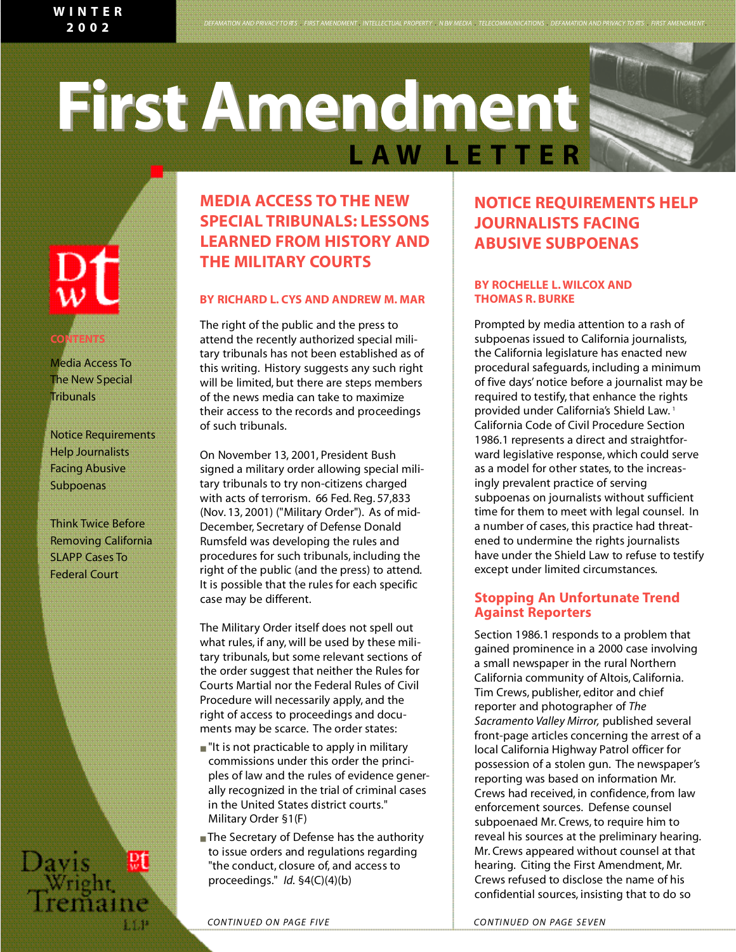# First Amendment! **L A W L E T T E R**

## **CONTENTS**

Media Access To The New Special **Tribunals** 

Notice Requirements Help Journalists Facing Abusive Subpoenas

Think Twice Before Removing California SLAPP Cases To Federal Court

ef

**MEDIA ACCESS TO THE NEW SPECIAL TRIBUNALS: LESSONS LEARNED FROM HISTORY AND THE MILITARY COURTS** 

#### **BY RICHARD L. CYS AND ANDREW M. MAR**

The right of the public and the press to attend the recently authorized special military tribunals has not been established as of this writing. History suggests any such right will be limited, but there are steps members of the news media can take to maximize their access to the records and proceedings of such tribunals.

On November 13, 2001, President Bush signed a military order allowing special military tribunals to try non-citizens charged with acts of terrorism. 66 Fed. Reg. 57,833 (Nov. 13, 2001) ("Military Order"). As of mid-December, Secretary of Defense Donald Rum s feld was developing the rules and procedures for such tribunals, including the right of the public (and the press) to attend. It is possible that the rules for each specific case may be different.

The Military Order itself does not spell out what rules, if any, will be used by these military tribunals, but some relevant sections of the order suggest that neither the Rules for Courts Martial nor the Federal Rules of Civil Procedure will necessarily apply, and the right of access to proceedings and documents may be scarce. The order states:

- "It is not practicable to apply in military commissions under this order the principles of law and the rules of evidence generally recognized in the trial of criminal cases in the United States district courts." Military Order §1(F)
- The Secretary of Defense has the authority to issue orders and regulations regarding "the conduct, closure of, and access to proceedings." *Id.* §4(C)(4)(b)

# **N OTICE REQUIREMENTS HELP JOURNALISTS FACING ABUSIVE SUBPOENAS**

## **BY ROCHELLE L. WILCOX AND THOMAS R. BURKE**

Prompted by media attention to a rash of subpoenas issued to California journalists, the California legislature has enacted new procedural safeguards, including a minimum of five days' notice before a journalist may be required to testify, that enhance the rights provided under California's Shield Law.<sup>1</sup> California Code of Civil Procedure Section 1986.1 represents a direct and straightforward legislative response, which could serve as a model for other states, to the increasingly prevalent practice of serving subpoenas on journalists without sufficient time for them to meet with legal counsel. In a number of cases, this practice had threatened to undermine the rights journalists have under the Shield Law to refuse to testify except under limited circumstances.

## **Stopping An Unfortunate Trend Against Reporters**

Section 1986.1 responds to a problem that gained prominence in a 2000 case involving a small newspaper in the rural Northern California community of Altois, California. Tim Crews, publisher, editor and chief reporter and photographer of The Sacramento Valley Mirror, published several front-page articles concerning the arrest of a local California Highway Patrol officer for possession of a stolen gun. The newspaper's reporting was based on information Mr. Crews had received, in confidence, from law enforcement sources. Defense counsel subpoenaed Mr. Crews, to require him to reveal his sources at the preliminary hearing. Mr. Crews appeared without counsel at that hearing. Citing the First Amendment, Mr. Cre ws refused to disclose the name of his confidential sources, insisting that to do so

**CONTINUED ON PAGE FIVE**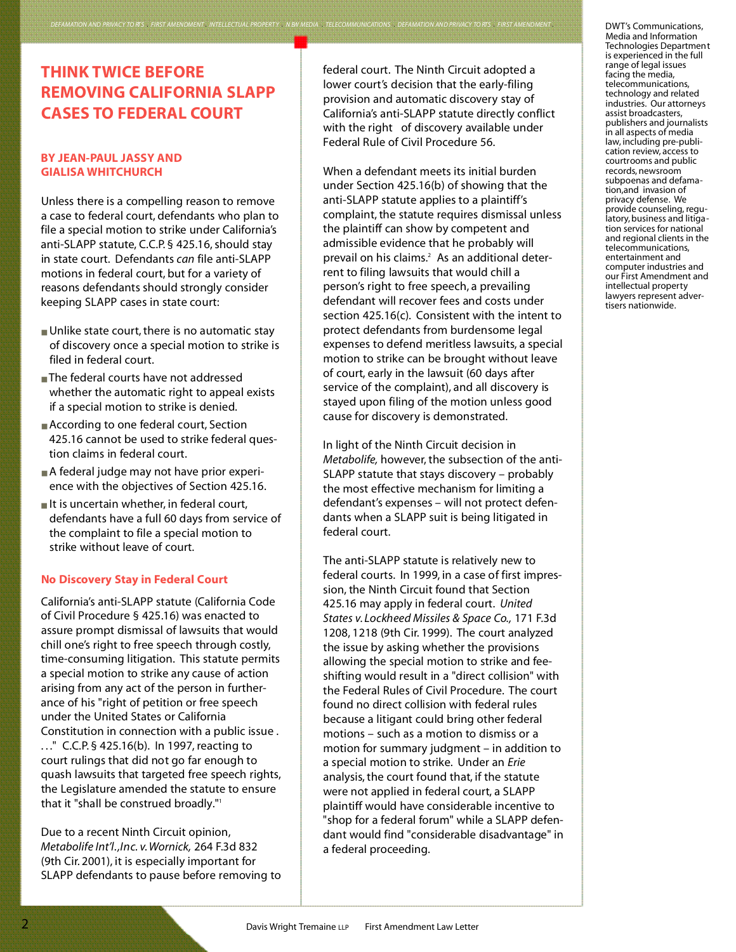# **THINK TWICE BEFORE REMOVING CALIFORNIA SLAPP CASES TO FEDERAL COURT**

**OPERTY: NEW MEDIA: TELECO** 

#### **BY JEAN-PAUL JASSY AND GIALISA WHITCHURCH**

Unless there is a compelling reason to remove a case to federal court, defendants who plan to file a special motion to strike under California's anti-SLAPP statute, C.C.P. § 425.16, should stay in state court. Defendants *can* file anti-SLAPP motions in federal court, but for a variety of reasons defendants should strongly consider keeping SLAPP cases in state court:

- $\blacksquare$  Unlike state court, there is no automatic stay of discovery once a special motion to strike is filed in federal court.
- $\blacksquare$  The federal courts have not addressed whether the automatic right to appeal exists if a special motion to strike is denied.
- $\blacksquare$  According to one federal court, Section 425.16 cannot be used to strike federal question claims in federal court.
- $\blacksquare$  A federal judge may not have prior experience with the objectives of Section 425.16.
- It is uncertain whether, in federal court, defendants have a full 60 days from service of the complaint to file a special motion to strike without leave of court.

#### **No Discovery Stay in Federal Court**

California's anti-SLAPP statute (California Code of Civil Procedure § 425.16) was enacted to assure prompt dismissal of lawsuits that would chill one's right to free speech through costly, time-consuming litigation. This statute permits a special motion to strike any cause of action arising from any act of the person in furtherance of his "right of petition or free speech under the United States or California Constitution in connection with a public issue . ..." C.C.P. § 425.16(b). In 1997, reacting to court rulings that did not go far enough to quash lawsuits that targeted free speech rights, the Legislature amended the statute to ensure that it "shall be construed broadly."<sup>1</sup>

Due to a recent Ninth Circuit opinion, *Metabolife Int'l., Inc. v. Wornick, 264 F.3d 832* (9th Cir. 2001), it is especially important for SLAPP defendants to pause before removing to federal court. The Ninth Circuit adopted a lower court's decision that the early-filing provision and automatic discovery stay of California's anti-SLAPP statute directly conflict with the right of discovery available under Federal Rule of Civil Procedure 56

When a defendant meets its initial burden under Section 425.16(b) of showing that the anti-SLAPP statute applies to a plaintiff's complaint, the statute requires dismissal unless the plaintiff can show by competent and admissible evidence that he probably will prevail on his claims.<sup>2</sup> As an additional deterrent to filing lawsuits that would chill a person's right to free speech, a prevailing defendant will recover fees and costs under section  $425.16(c)$ . Consistent with the intent to protect defendants from burdensome legal expenses to defend meritless lawsuits, a special motion to strike can be brought without leave of court, early in the lawsuit (60 days after service of the complaint), and all discovery is stayed upon filing of the motion unless good cause for discovery is demonstrated.

In light of the Ninth Circuit decision in *Metabolife*, however, the subsection of the anti-SLAPP statute that stays discovery – probably the most effective mechanism for limiting a defendant's expenses - will not protect defendants when a SLAPP suit is being litigated in federal court.

The anti-SLAPP statute is relatively new to federal courts. In 1999, in a case of first impression, the Ninth Circuit found that Section 425.16 may apply in federal court. United States v. Lockheed Missiles & Space Co., 171 F.3d 1208, 1218 (9th Cir. 1999). The court analyzed the issue by asking whether the provisions allowing the special motion to strike and feeshifting would result in a "direct collision" with the Federal Rules of Civil Procedure. The court found no direct collision with federal rules because a litigant could bring other federal motions – such as a motion to dismiss or a motion for summary judgment – in addition to a special motion to strike. Under an *Erie* analysis, the court found that, if the statute were not applied in federal court, a SLAPP plaintiff would have considerable incentive to "shop for a federal forum" while a SLAPP defendant would find "considerable disadvantage" in a federal proceeding.

DWT's Communications, Media and Information Technologies Department is experienced in the full range of legal issues facing the media, telecommunications, technology and related industries. Our attorneys assist broadcasters, publishers and journalists in all aspects of media law, including pre-publication review, access to courtrooms and public records, newsroom subpoenas and defamation,and invasion of privacy defense. We provide counseling, regulatory, business and litigation services for national and regional clients in the telecommunications, entertainment and computer industries and our First Amendment and intellectual property lawyers represent advertisers nationwide.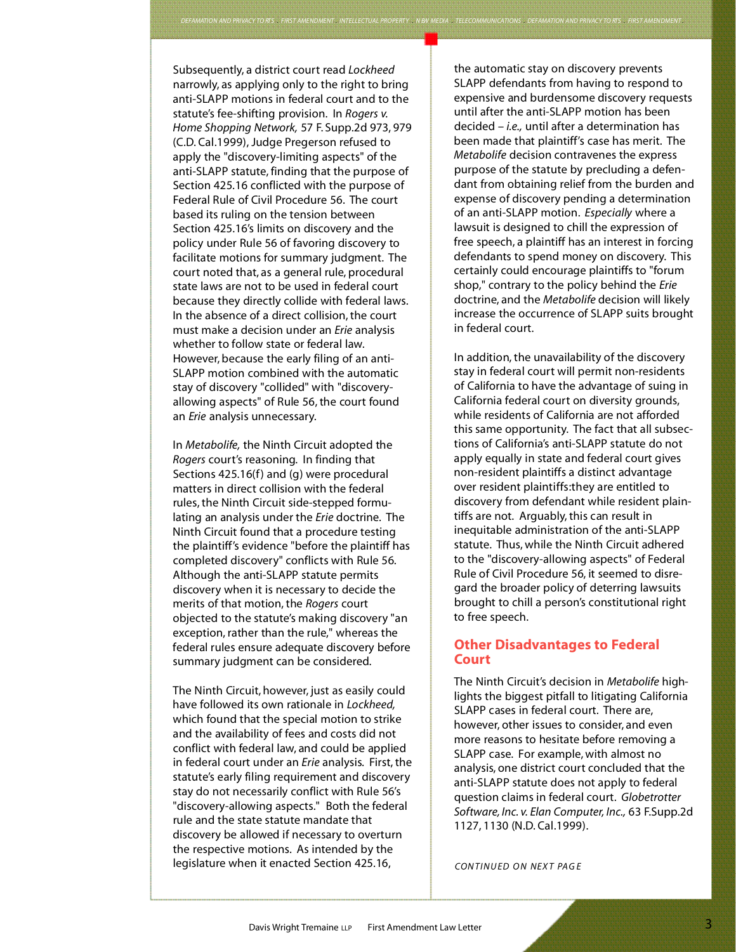Subsequently, a district court read *Lockheed* narrowly, as applying only to the right to bring anti-SLAPP motions in federal court and to the statute's fee-shifting provision. In *Rogers v*. *Home Shopping Network, 57 F. Supp.2d 973, 979* (C.D. Cal.1999), Judge Pregerson refused to apply the "discovery-limiting aspects" of the anti-SLAPP statute, finding that the purpose of Section 425.16 conflicted with the purpose of Federal Rule of Civil Procedure 56. The court based its ruling on the tension between Section 425.16's limits on discovery and the policy under Rule 56 of favoring discovery to facilitate motions for summary judgment. The court noted that, as a general rule, procedural state laws are not to be used in federal court because they directly collide with federal laws. In the absence of a direct collision, the court must make a decision under an *Erie* analysis whether to follow state or federal law. However, because the early filing of an anti-SLAPP motion combined with the automatic stay of discovery "collided" with "discoveryallowing aspects" of Rule 56, the court found an *Erie* analysis unnecessary.

In *Metabolife*, the Ninth Circuit adopted the *Rogers* court's reasoning. In finding that Sections  $425.16(f)$  and (g) were procedural matters in direct collision with the federal rules, the Ninth Circuit side-stepped formulating an analysis under the *Erie* doctrine. The Ninth Circuit found that a procedure testing the plaintiff's evidence "before the plaintiff has completed discovery" conflicts with Rule 56. Although the anti-SLAPP statute permits discovery when it is necessary to decide the merits of that motion, the *Rogers* court objected to the statute's making discovery "an exception, rather than the rule," whereas the federal rules ensure adequate discovery before summary judgment can be considered.

The Ninth Circuit, however, just as easily could have followed its own rationale in *Lockheed.* which found that the special motion to strike and the availability of fees and costs did not conflict with federal law, and could be applied in federal court under an *Erie* analysis. First, the statute's early filing requirement and discovery stay do not necessarily conflict with Rule 56's " discovery-allowing aspects." Both the federal rule and the state statute mandate that discovery be allowed if necessary to overturn the respective motions. As intended by the legislature when it enacted Section 425.16,

the automatic stay on discovery prevents SLAPP defendants from having to respond to expensive and burdensome discovery requests until after the anti-SLAPP motion has been decided – *i.e.*, until after a determination has been made that plaintiff's case has merit. The *Metabolife* decision contravenes the express purpose of the statute by precluding a defendant from obtaining relief from the burden and expense of discovery pending a determination of an anti-SLAPP motion. *Especially* where a lawsuit is designed to chill the expression of free speech, a plaintiff has an interest in forcing defendants to spend money on discovery. This certainly could encourage plaintiffs to "forum shop," contrary to the policy behind the *Erie* doctrine, and the *Metabolife* decision will likely increase the occurrence of SLAPP suits brought in federal court.

MATION AND PRIVACY TO RIS. THIST AMENDMENT. INTELLECTUAL PROPERTY. NAN MEDIA . TELECOMMUNICATIONS. DEFAMATION AND PRIVACY TO RIS. THIST AMENDMENT.

In addition, the unavailability of the discovery stay in federal court will permit non-residents of California to have the advantage of suing in California federal court on diversity grounds, while residents of California are not afforded this same opportunity. The fact that all subsections of California's anti-SLAPP statute do not apply equally in state and federal court gives non-resident plaintiffs a distinct advantage over resident plaintiffs: they are entitled to discovery from defendant while resident plaintiffs are not. Arguably, this can result in inequitable administration of the anti-SLAPP statute. Thus, while the Ninth Circuit adhered to the "discovery-allowing aspects" of Federal Rule of Civil Procedure 56, it seemed to disregard the broader policy of deterring lawsuits brought to chill a person's constitutional right to free speech.

#### **Other Disadvantages to Federal Court**

The Ninth Circuit's decision in *Metabolife* highlights the biggest pitfall to litigating California SLAPP cases in federal court. There are, however, other issues to consider, and even more reasons to hesitate before removing a SLAPP case. For example, with almost no analysis, one district court concluded that the anti-SLAPP statute does not apply to federal question claims in federal court. Globetrotter *Software, Inc. v. Elan Computer, Inc., 63 F.Supp.2d* 1127, 1130 (N.D. Cal.1999).

**CONTINUED ON NEXT PAGE**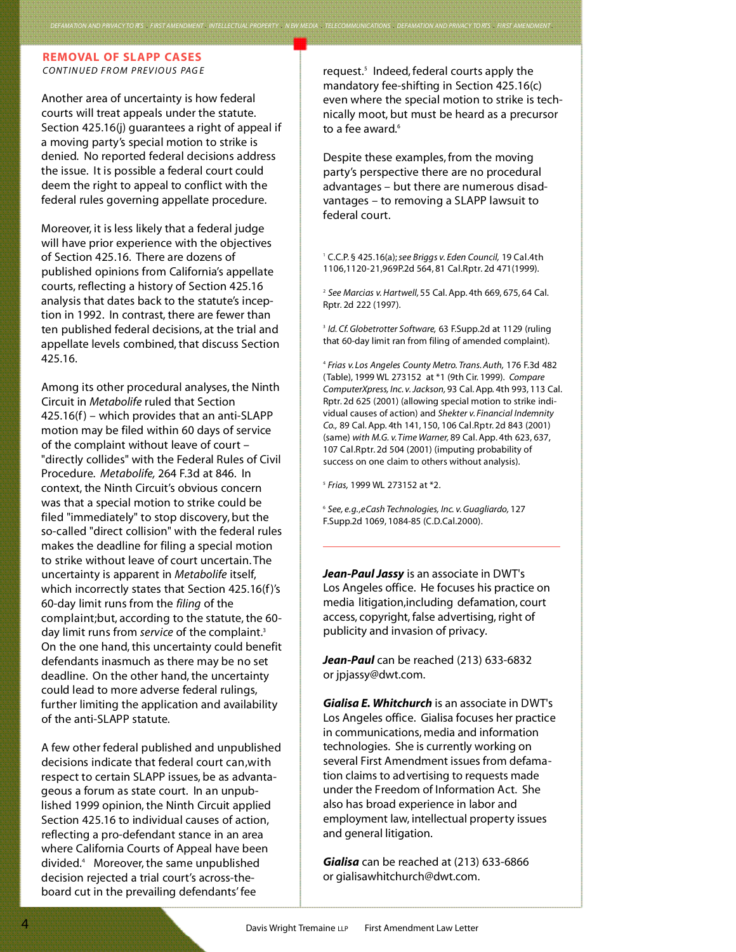#### **REMOVAL OF SLAPP CASES** *C O NT I N U E D F R O M P R E V I O U S PAG E*

Another area of uncertainty is how federal courts will treat appeals under the statute. Section 425.16(j) guarantees a right of appeal if a moving party's special motion to strike is denied. No reported federal decisions address the issue. It is possible a federal court could deem the right to appeal to conflict with the federal rules governing appellate procedure.

FAMATION AND PRIVACYTO RIS . FIRST AMENDMENT . INTELLECTUAL PROPERTY . . N EW MEDIA . . TELECOMMU

Moreover, it is less likely that a federal judge will have prior experience with the objectives of Section 425.16. There are dozens of published opinions from California's appellate courts, reflecting a history of Section 425.16 analysis that dates back to the statute's inception in 1992. In contrast, there are fewer than ten published federal decisions, at the trial and appellate levels combined, that discuss Section 4 2 5 . 1 6 .

Among its other procedural analyses, the Ninth Circuit in *Metabolife* ruled that Section  $425.16(f)$  – which provides that an anti-SLAPP motion may be filed within 60 days of service of the complaint without leave of court – "directly collides" with the Federal Rules of Civil Procedure. *Metabolife*, 264 F.3d at 846. In context, the Ninth Circuit's obvious concern was that a special motion to strike could be filed "immediately" to stop discovery, but the so-called "direct collision" with the federal rules makes the deadline for filing a special motion to strike without leave of court uncertain. The uncertainty is apparent in *Metabolife* itself, which incorrectly states that Section 425.16(f)'s 60-day limit runs from the *filing* of the complaint; but, according to the statute, the 60day limit runs from *service* of the complaint.<sup>3</sup> On the one hand, this uncertainty could benefit defendants inasmuch as there may be no set deadline. On the other hand, the uncertainty could lead to more adverse federal rulings, further limiting the application and availability of the anti-SLAPP statute.

A few other federal published and unpublished decisions indicate that federal court can, with respect to certain SLAPP issues, be as advantageous a forum as state court. In an unpublished 1999 opinion, the Ninth Circuit applied Section 425.16 to individual causes of action, reflecting a pro-defendant stance in an area where California Courts of Appeal have been divided.<sup>4</sup> Moreover, the same unpublished decision rejected a trial court's across-theboard cut in the prevailing defendants' fee

request.<sup>5</sup> Indeed, federal courts apply the m and atory fee-shifting in Section  $425.16(c)$ even where the special motion to strike is technically moot, but must be heard as a precursor to a fee award. $6$ 

Despite these examples, from the moving party's perspective there are no procedural advantages – but there are numerous disadvantages – to removing a SLAPP lawsuit to federal court.

<sup>1</sup> C.C.P. § 425.16(a); see Briggs v. Eden Council, 19 Cal.4th 1106,1120-21,969P.2d 564, 81 Cal.Rptr. 2d 471(1999).

<sup>2</sup> See Marcias v. Hartwell, 55 Cal. App. 4th 669, 675, 64 Cal. Rptr. 2d 222 (1997).

<sup>3</sup> Id. Cf. Globetrotter Software, 63 F.Supp.2d at 1129 (ruling that 60-day limit ran from filing of amended complaint).

<sup>4</sup> Frias v. Los Angeles County Metro. Trans. Auth, 176 F.3d 482 (Table), 1999 WL 273152 at \*1 (9th Cir. 1999). Compare *ComputerXpress, Inc. v. Jackson, 93 Cal. App. 4th 993, 113 Cal.* Rptr. 2d 625 (2001) (allowing special motion to strike individual causes of action) and *Shekter v. Financial Indemnity* Co., 89 Cal. App. 4th 141, 150, 106 Cal. Rptr. 2d 843 (2001) (same) with M.G. v. Time Warner, 89 Cal. App. 4th 623, 637, 107 Cal.Rptr. 2d 504 (2001) (imputing probability of success on one claim to others without analysis).

<sup>5</sup> Frias, 1999 WL 273152 at \*2.

<sup>6</sup>*Se e, e. g. ,e Cash Te c h n o l og i e s, I n c. v. Gu a g l i a rd o,* 1 2 7 F. Supp. 2d 1069, 1084-85 (C.D. Cal. 2000).

*Jean-Paul Jassy* is an associate in DWT's Los Angeles office. He focuses his practice on media litigation,including defamation, court access, copyright, false advertising, right of publicity and invasion of privacy.

*Jean-Paul* can be reached (213) 633-6832 or jpjassy@dwt.com.

*Gialisa E. Whitchurch* is an associate in DWT's Los Angeles office. Gialisa focuses her practice in communications, media and information technologies. She is currently working on several First Amendment issues from defamation claims to advertising to requests made under the Freedom of Information Act. She also has broad experience in labor and employment law, intellectual property issues and general litigation.

*Gialisa* can be reached at (213) 633-6866 or gialisawhitchurch@dwt.com.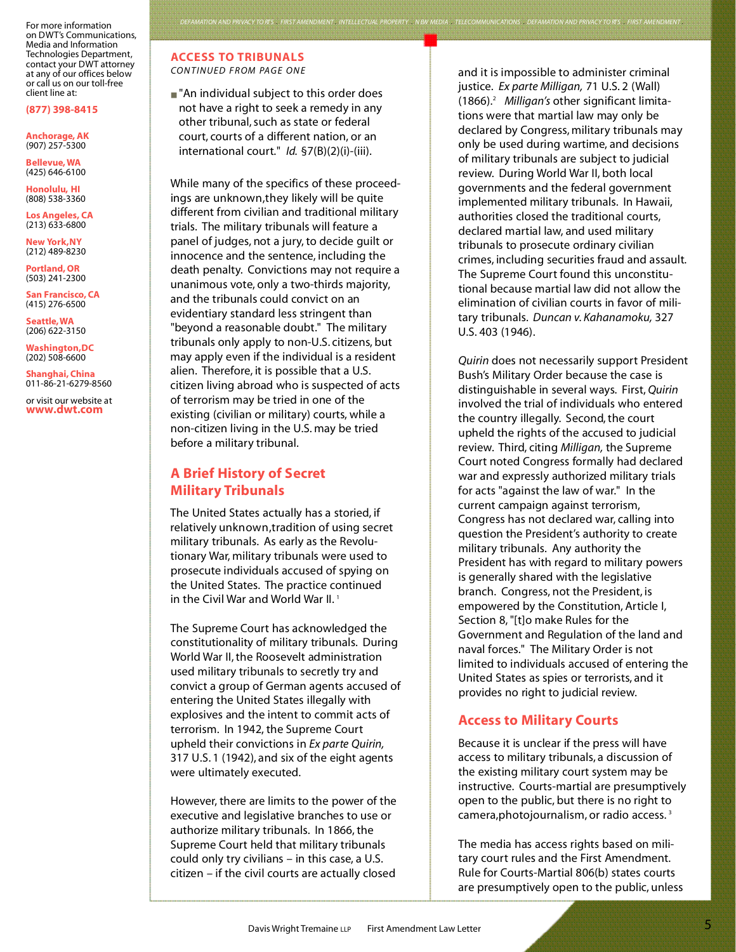For more information on DWT's Communications, Media and Information Technologies Department, contact your DWT attorney at any of our offices below or call us on our toll-free client line at:

**(877) 398-8415**

**Anchorage, AK** (907) 257-5300

**Bellevue, WA** (425) 646-6100

**Honolulu, HI** (808) 538-3360

**Los Angeles, CA** (213) 633-6800

**New York,NY** (212) 489-8230

**Portland, OR** (503) 241-2300

**San Francisco, CA** (415) 276-6500

**Seattle,WA** (206) 622-3150

**Washington,DC** (202) 508-6600

**Shanghai, China** 011-86-21-6279-8560

or visit our website at **www.dwt.com**

#### **ACCESS TO TRIBUNALS CONTINUED FROM PAGE ONE**

■ "An individual subject to this order does not have a right to seek a remedy in any other tribunal, such as state or federal court, courts of a different nation, or an international court." *Id.* §7(B)(2)(i)-(iii).

.<br>DEFAMATION AND PRIVACY TO RTS. FIRST AMENDMENT. INTELLECTUAL PROPERTY. NEW MEDIA. TELECOMMUNICATIONS. DEFAMATION AND PRIVACY TO RTS. FIRST AMENDMENT

While many of the specifics of these proceedings are unknown, they likely will be quite different from civilian and traditional military trials. The military tribunals will feature a panel of judges, not a jury, to decide guilt or in no cence and the sentence, including the death penalty. Convictions may not require a unanimous vote, only a two-thirds majority, and the tribunals could convict on an evidentiary standard less stringent than "beyond a reasonable doubt." The military tribunals only apply to non-U.S. citizens, but may apply even if the individual is a resident alien. Therefore, it is possible that a U.S. citizen living abroad who is suspected of acts of terrorism may be tried in one of the existing (civilian or military) courts, while a non-citizen living in the U.S. may be tried before a military tribunal.

## **A Brief History of Secret Military Tribunals**

The United States actually has a storied, if relatively unknown, tradition of using secret military tribunals. As early as the Revolutionary War, military tribunals were used to prosecute individuals accused of spying on the United States. The practice continued in the Civil War and World War II.<sup>1</sup>

The Supreme Court has acknowledged the constitutionality of military tribunals. During World War II, the Roosevelt administration used military tribunals to secretly try and convict a group of German agents accused of entering the United States illegally with explosives and the intent to commit acts of terrorism. In 1942, the Supreme Court upheld their convictions in *Ex parte Quirin*,  $317$  U.S. 1 (1942), and six of the eight agents were ultimately executed.

However, there are limits to the power of the executive and legislative branches to use or authorize military tribunals. In 1866, the Supreme Court held that military tribunals could only try civilians – in this case, a U.S. citizen – if the civil courts are actually closed

and it is impossible to administer criminal justice. *Ex parte Milligan*, 71 U.S. 2 (Wall) (1866).<sup>2</sup> Milligan's other significant limitations were that martial law may only be declared by Congress, military tribunals may only be used during wartime, and decisions of military tribunals are subject to judicial review. During World War II, both local governments and the federal government implemented military tribunals. In Hawaii, authorities closed the traditional courts, declared martial law, and used military tribunals to prosecute ordinary civilian crimes, including securities fraud and assault. The Supreme Court found this unconstitutional be cause martial law did not allow the elimination of civilian courts in favor of military tribunals. Duncan v. Kahanamoku, 327 U.S. 403 (1946).

*Quirin* does not necessarily support President Bush's Military Order because the case is distinguishable in several ways. First, *Quirin* involved the trial of individuals who entered the country illegally. Second, the court upheld the rights of the accused to judicial review. Third, citing *Milligan*, the Supreme Court noted Congress formally had declared war and expressly authorized military trials for acts "against the law of war." In the current campaign against terrorism, Congress has not declared war, calling into question the President's authority to create military tribunals. Any authority the President has with regard to military powers is generally shared with the legislative branch. Congress, not the President, is empowered by the Constitution, Article I, Section 8, "[t]o make Rules for the Government and Regulation of the land and naval forces." The Military Order is not limited to individuals accused of entering the United States as spies or terrorists, and it provides no right to judicial review.

## **Access to Military Courts**

Because it is unclear if the press will have access to military tribunals, a discussion of the existing military court system may be in structive. Courts-martial are presumptively open to the public, but there is no right to camera, photoj ournalism, or radio access.<sup>3</sup>

The media has access rights based on military court rules and the First Amendment. Rule for Courts-Martial 806(b) states courts are presumptively open to the public, unless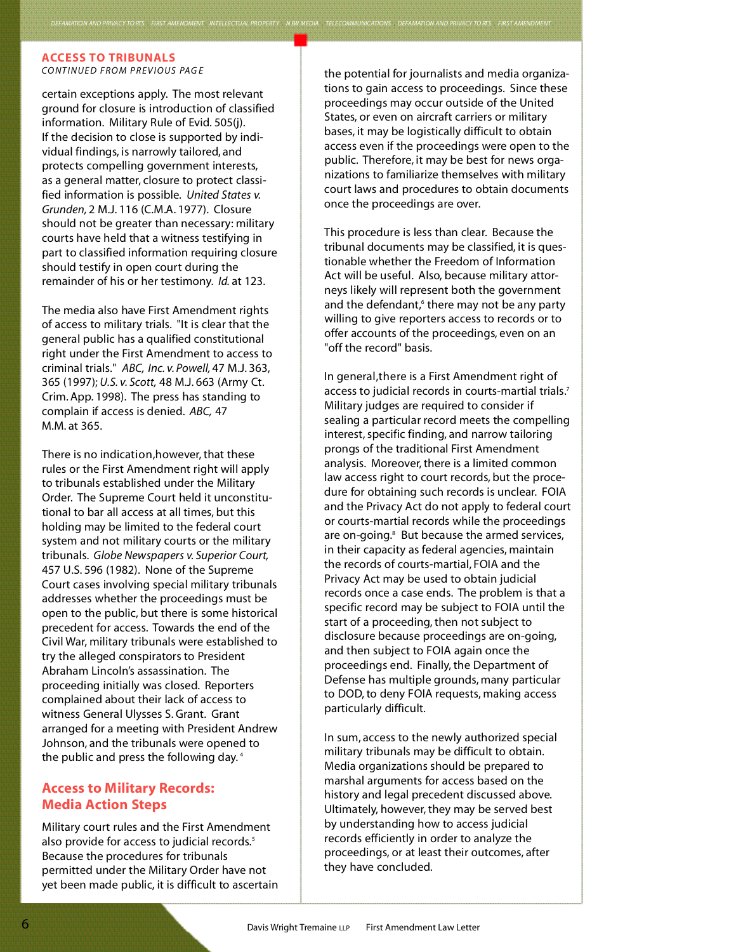## **ACCESS TO TRIBUNALS**

*CO NT I N U E D F R O M P R E V I O U S PAG E*

certain exceptions apply. The most relevant ground for closure is introduction of classified information. Military Rule of Evid. 505(j). If the decision to close is supported by individual findings, is narrowly tailored, and protects compelling government interests, as a general matter, closure to protect classified information is possible. United States v. *Grunden, 2 M.J.* 116 (C.M.A. 1977). Closure should not be greater than necessary: military courts have held that a witness testifying in part to classified information requiring closure should testify in open court during the remainder of his or her testimony. *Id.* at 123.

The media also have First Amendment rights of access to military trials. "It is clear that the general public has a qualified constitutional right under the First Amendment to access to criminal trials." *ABC, Inc. v. Powell, 47 M.J.* 363, 365 (1997); *U . S . v. S co t t,* 48 M.J. 663 (Army Ct. Crim. App. 1998). The press has standing to complain if access is denied. ABC, 47 M.M. at 365.

There is no indication, however, that these rules or the First Amendment right will apply to tribunals established under the Military Order. The Supreme Court held it unconstitutional to bar all access at all times, but this holding may be limited to the federal court system and not military courts or the military tribunals. Globe Newspapers v. Superior Court, 457 U.S. 596 (1982). None of the Supreme Court cases involving special military tribunals addresses whether the proceedings must be open to the public, but there is some historical precedent for access. Towards the end of the Civil War, military tribunals were established to try the alleged conspirators to President Abraham Lincoln's assassination. The proceeding initially was closed. Reporters complained about their lack of access to witness General Ulysses S. Grant. Grant arranged for a meeting with President Andrew Johnson, and the tribunals were opened to the public and press the following day. $4$ 

## **Access to Military Records: Media Action Steps**

Military court rules and the First Amendment also provide for access to judicial records.<sup>5</sup> Because the procedures for tribunals permitted under the Military Order have not yet been made public, it is difficult to ascertain the potential for journalists and media organizations to gain access to proceedings. Since these proceedings may occur outside of the United States, or even on aircraft carriers or military bases, it may be logistically difficult to obtain access even if the proceedings were open to the public. Therefore, it may be best for news organizations to familiarize themselves with military court laws and procedures to obtain documents once the proceedings are over.

This procedure is less than clear. Because the tribunal documents may be classified, it is questionable whether the Freedom of Information Act will be useful. Also, because military attorneys likely will represent both the government and the defendant,<sup>6</sup> there may not be any party willing to give reporters access to records or to offer accounts of the proceedings, even on an "off the record" basis.

In general, there is a First Amendment right of access to judicial records in courts-martial trials.<sup>7</sup> Military judges are required to consider if sealing a particular record meets the compelling interest, specific finding, and narrow tailoring prongs of the traditional First Amendment analysis. Moreover, there is a limited common law access right to court records, but the procedure for obtaining such records is unclear. FOIA and the Privacy Act do not apply to federal court or courts-martial records while the proceedings are on-going.<sup>8</sup> But because the armed services, in their capacity as federal agencies, maintain the records of courts-martial. FOIA and the Privacy Act may be used to obtain judicial records once a case ends. The problem is that a specific record may be subject to FOIA until the start of a proceeding, then not subject to disclosure because proceedings are on-going, and then subject to FOIA again once the proceedings end. Finally, the Department of Defense has multiple grounds, many particular to DOD, to deny FOIA requests, making access particularly difficult.

In sum, access to the newly authorized special military tribunals may be difficult to obtain. Media organizations should be prepared to marshal arguments for access based on the history and legal precedent discussed above. Ultimately, however, they may be served best by understanding how to access judicial records efficiently in order to analyze the proceedings, or at least their outcomes, after they have concluded.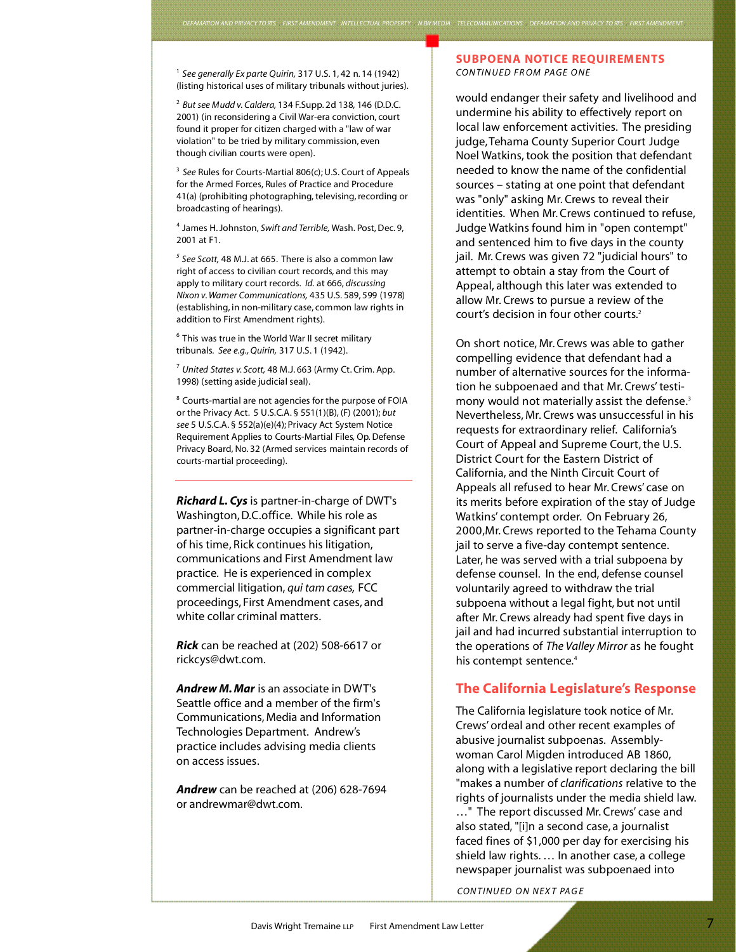<sup>1</sup> See generally Ex parte Quirin, 317 U.S. 1, 42 n. 14 (1942) (listing historical uses of military tribunals without juries).

<sup>2</sup> But see Mudd v. Caldera, 134 F. Supp. 2d 138, 146 (D.D.C. 2001) (in reconsidering a Civil War-era conviction, court found it proper for citizen charged with a "law of war violation" to be tried by military commission, even though civilian courts were open).

<sup>3</sup> See Rules for Courts-Martial 806(c); U.S. Court of Appeals for the Armed Forces, Rules of Practice and Procedure 41(a) (prohibiting photographing, televising, recording or broadcasting of hearings).

<sup>4</sup> James H. Johnston, Swift and Terrible, Wash. Post, Dec. 9, 2001 at F1.

<sup>5</sup> See Scott, 48 M.J. at 665. There is also a common law riaht of access to civilian court records, and this may apply to military court records. *Id.* at 666, *discussing Nixon v. Warner Communications, 435 U.S. 589, 599 (1978)* (establishing, in non-military case, common law rights in addition to First Amendment rights).

 $6$  This was true in the World War II secret military tribunals. See e.g., Quirin, 317 U.S. 1 (1942).

<sup>7</sup> United States v. Scott, 48 M.J. 663 (Army Ct. Crim. App. 1998) (setting aside judicial seal).

 $8$  Courts-martial are not agencies for the purpose of FOIA or the Privacy Act. 5 U.S.C.A. § 551(1)(B), (F) (2001); *but* see 5 U.S.C.A. § 552(a)(e)(4); Privacy Act System Notice Requirement Applies to Courts-Martial Files, Op. Defense Privacy Board, No. 32 (Armed services maintain records of courts-martial proceeding).

*Richard L. Cys* is partner-in-charge of DWT's Washington,D.C.office. While his role as partner-in-charge occupies a significant part of his time, Rick continues his litigation, communications and First Amendment law practice. He is experienced in complex commercial litigation, *qui tam cases,* FCC proceedings, First Amendment cases, and white collar criminal matters.

*Rick* can be reached at (202) 508-6617 or rickcys@dwt.com.

*Andrew M. Mar* is an associate in DWT's Seattle office and a member of the firm's Communications, Media and Information Technologies Department. Andrew's practice includes advising media clients on access issues.

*Andrew* can be reached at (206) 628-7694 or andrewmar@dwt.com.

#### **SUBPOENA NOTICE REQUIREMENTS CONTINUED FROM PAGE ONE**

DEFAMATION AND PRIVACY TO RTS . FIRST AMENDMENT . INTELLECTUAL PROPERTY . . NEW MEDIA . :TELECOMMUNICATIONS . :DEFAMATION AND PRIVACY TO RTS . .FIRST AMENDMENT .

would endanger their safety and livelihood and undermine his ability to effectively report on local law enforcement activities. The presiding judge, Tehama County Superior Court Judge Noel Watkins, took the position that defendant needed to know the name of the confidential sources – stating at one point that defendant was "only" asking Mr. Crews to reveal their identities. When Mr. Crews continued to refuse, Judge Watkins found him in "open contempt" and sentenced him to five days in the county jail. Mr. Crews was given 72 "judicial hours" to attempt to obtain a stay from the Court of Appeal, although this later was extended to allow Mr. Crews to pursue a review of the court's decision in four other courts.<sup>2</sup>

On short notice, Mr. Crews was able to gather compelling evidence that defendant had a number of alternative sources for the information he subpoenaed and that Mr. Crews' testimony would not materially assist the defense.<sup>3</sup> Nevertheless, Mr. Crews was unsuccessful in his requests for extraordinary relief. California's Court of Appeal and Supreme Court, the U.S. District Court for the Eastern District of California, and the Ninth Circuit Court of Appeals all refused to hear Mr. Crews' case on its merits before expiration of the stay of Judge Watkins' contempt order. On February 26, 2000, Mr. Crews reported to the Tehama County jail to serve a five-day contempt sentence. Later, he was served with a trial subpoena by defense counsel. In the end, defense counsel voluntarily agreed to withdraw the trial subpoena without a legal fight, but not until after Mr. Crews already had spent five days in jail and had incurred substantial interruption to the operations of *The Valley Mirror* as he fought his contempt sentence.<sup>4</sup>

## **The California Legislature's Response**

The California legislature took notice of Mr. Crews' ordeal and other recent examples of abusive journalist subpoenas. Assemblywoman Carol Migden introduced AB 1860, along with a legislative report declaring the bill " makes a number of *clarifications* relative to the rights of journalists under the media shield law. ..." The report discussed Mr. Crews' case and also stated, "[i]n a second case, a journalist faced fines of \$1,000 per day for exercising his shield law rights. ... In another case, a college newspaper journalist was subpoenaed into

**CONTINUED ON NEXT PAGE**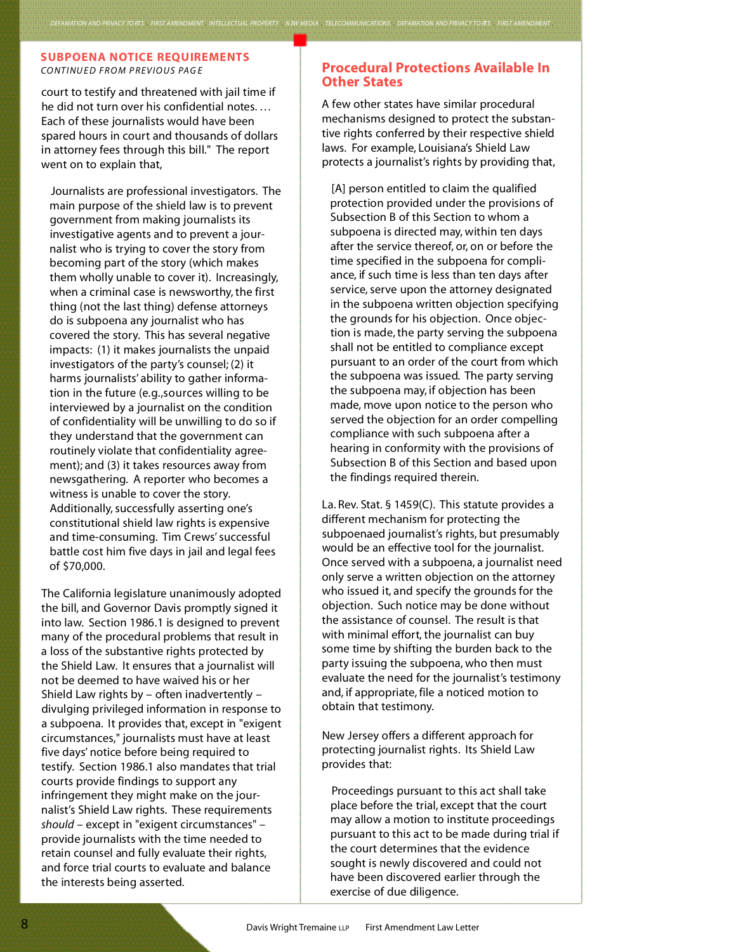#### **SUBPOENA NOTICE REQUIREMENTS CONTINUED FROM PREVIOUS PAGE**

court to testify and threatened with jail time if he did not turn over his confidential notes.... Each of these journalists would have been spared hours in court and thousands of dollars in attorney fees through this bill." The report went on to explain that,

Journalists are professional investigators. The main purpose of the shield law is to prevent government from making journalists its investigative agents and to prevent a journalist who is trying to cover the story from becoming part of the story (which makes them wholly unable to cover it). Increasingly, when a criminal case is news worthy, the first thing (not the last thing) defense attorneys do is subpoena any journalist who has covered the story. This has several negative impacts: (1) it makes journalists the unpaid investigators of the party's counsel; (2) it harms journalists' ability to gather information in the future (e.g., sources willing to be interviewed by a journalist on the condition of confidentiality will be unwilling to do so if they understand that the government can routinely violate that confidentiality agreement); and (3) it takes resources away from newsgathering. A reporter who becomes a witness is unable to cover the story. Additionally, successfully asserting one's constitutional shield law rights is expensive and time-consuming. Tim Crews' successful battle cost him five days in jail and legal fees of \$70,000.

The California legislature unanimously adopted the bill, and Governor Davis promptly signed it into law. Section 1986.1 is designed to prevent many of the procedural problems that result in a loss of the substantive rights protected by the Shield Law. It ensures that a journalist will not be deemed to have waived his or her Shield Law rights by – often inadvertently – divulging privileged information in response to a subpoena. It provides that, except in "exigent" circumstances," journalists must have at least five days' notice before being required to testify. Section 1986.1 also mandates that trial courts provide findings to support any infring ement they might make on the journalist's Shield Law rights. These requirements should – except in "exigent circumstances" – provide journalists with the time needed to retain counsel and fully evaluate their rights, and force trial courts to evaluate and balance the interests being asserted.

## **Procedural Protections Available In Other States**

A few other states have similar procedural mechanisms designed to protect the substantive rights conferred by their respective shield laws. For example, Louisiana's Shield Law protects a journalist's rights by providing that,

[A] person entitled to claim the qualified protection provided under the provisions of Subsection B of this Section to whom a subpoena is directed may, within ten days after the service thereof, or, on or before the time specified in the subpoena for compliance, if such time is less than ten days after service, serve upon the attorney designated in the subpoena written objection specifying the grounds for his objection. Once objection is made, the party serving the subpoena shall not be entitled to compliance except pursuant to an order of the court from which the subpoena was issued. The party serving the subpoena may, if objection has been made, move upon notice to the person who served the objection for an order compelling compliance with such subpoena after a hearing in conformity with the provisions of Subsection B of this Section and based upon the findings required therein.

La. Rev. Stat. § 1459(C). This statute provides a different mechanism for protecting the subpoenaed journalist's rights, but presumably would be an effective tool for the journalist. Once served with a subpoena, a journalist need only serve a written objection on the attorney who issued it, and specify the grounds for the objection. Such notice may be done without the assistance of counsel. The result is that with minimal effort, the journalist can buy some time by shifting the burden back to the party issuing the subpoena, who then must evaluate the need for the journalist's testimony and, if appropriate, file a noticed motion to obtain that testimony.

New Jersey offers a different approach for protecting journalist rights. Its Shield Law provides that:

Proceedings pursuant to this act shall take place before the trial, except that the court may allow a motion to institute proceedings pursuant to this act to be made during trial if the court determines that the evidence sought is newly discovered and could not have been discovered earlier through the exercise of due diligence.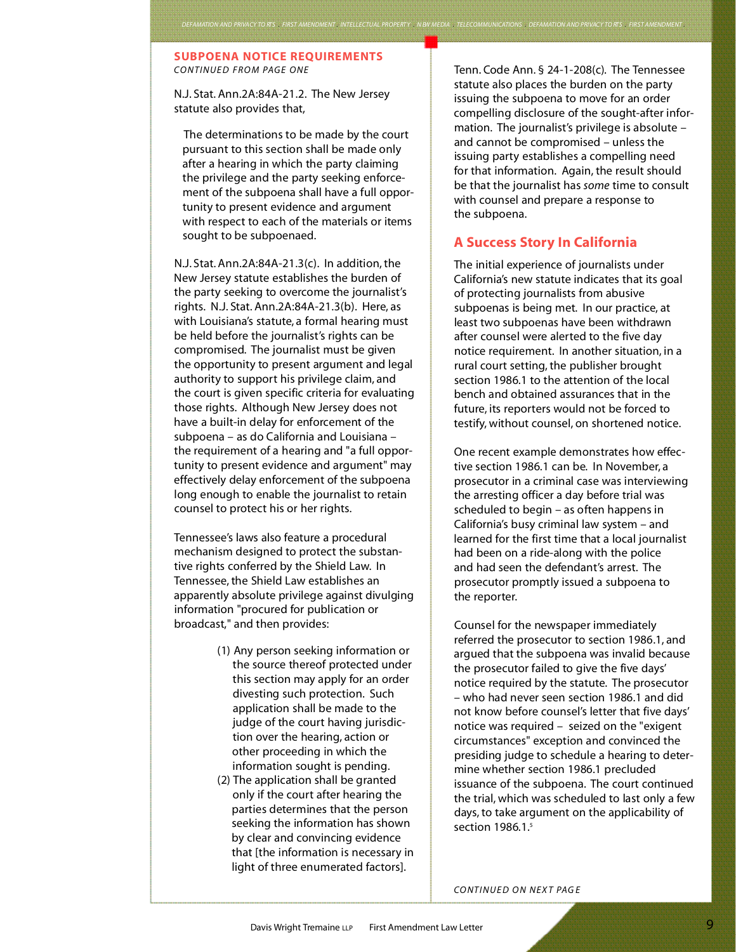#### **SUBPOENA NOTICE REQUIREMENTS CONTINUED FROM PAGE ONE**

N.J. Stat. Ann.2A:84A-21.2. The New Jersey statute also provides that,

The determinations to be made by the court pursuant to this section shall be made only after a hearing in which the party claiming the privilege and the party seeking enforcement of the subpoena shall have a full opportunity to present evidence and argument with respect to each of the materials or items sought to be subpoenaed.

N.J. Stat. Ann.2A:84A-21.3(c). In addition, the New Jersey statute establishes the burden of the party seeking to overcome the journalist's rights. N.J. Stat. Ann.2A:84A-21.3(b). Here, as with Louisiana's statute, a formal hearing must be held before the journalist's rights can be compromised. The journalist must be given the opportunity to present argument and legal authority to support his privilege claim, and the court is given specific criteria for evaluating those rights. Although New Jersey does not have a built-in delay for enforcement of the subpoena - as do California and Louisiana the requirement of a hearing and "a full opportunity to present evidence and argument" may effectively delay enforcement of the subpoena long enough to enable the journalist to retain counsel to protect his or her rights.

Tennessee's laws also feature a procedural mechanism designed to protect the substantive rights conferred by the Shield Law. In Tennessee, the Shield Law establishes an apparently absolute privilege against divulging information "procured for publication or broadcast," and then provides:

- (1) Any person seeking information or the source thereof protected under this section may apply for an order divesting such protection. Such application shall be made to the judge of the court having jurisdiction over the hearing, action or other proceeding in which the information sought is pending.
- (2) The application shall be granted only if the court after hearing the parties determines that the person seeking the information has shown by clear and convincing evidence that [the information is necessary in light of three enumerated factors].

Tenn. Code Ann. § 24-1-208(c). The Tennessee statute also places the burden on the party issuing the subpoena to move for an order compelling disclosure of the sought-after information. The journalist's privilege is absolute – and cannot be compromised – unless the issuing party establishes a compelling need for that information. Again, the result should be that the journalist has *some* time to consult with counsel and prepare a response to the subpoena.

## **A Success Story In California**

DEFAMATION AND PRIVACY TO RES. FIRST AMENDMENT. INTELLECTUAL PROPERTY . NEW MEDIA . TELECOMMUNICATIONS . DEFAMATION AND PRIVACY TO RES. FIRST AMENDMENT.

The initial experience of journalists under California's new statute indicates that its goal of protecting journalists from abusive subpoenas is being met. In our practice, at least two subpoenas have been withdrawn after counsel were alerted to the five day notice requirement. In another situation, in a rural court setting, the publisher brought section 1986.1 to the attention of the local bench and obtained assurances that in the future, its reporters would not be forced to testify, without counsel, on shortened notice.

One recent example demonstrates how effective section 1986.1 can be. In November, a prosecutor in a criminal case was interviewing the arresting officer a day before trial was scheduled to begin – as often happens in California's busy criminal law system – and learned for the first time that a local journalist had been on a ride-along with the police and had seen the defendant's arrest. The prosecutor promptly issued a subpoena to the reporter.

Counsel for the newspaper immediately referred the prosecutor to section 1986.1, and argued that the subpoena was invalid because the prosecutor failed to give the five days' notice required by the statute. The prosecutor – who had never seen section 1986.1 and did not know before counsel's letter that five days' notice was required – seized on the "exigent" circumstances" exception and convinced the presiding judge to schedule a hearing to determine whether section 1986.1 precluded is suance of the subpoena. The court continued the trial, which was scheduled to last only a few days, to take argument on the applicability of section  $1986.1$ .<sup>5</sup>

*CO NT I N U E D O N N E X T PAG E*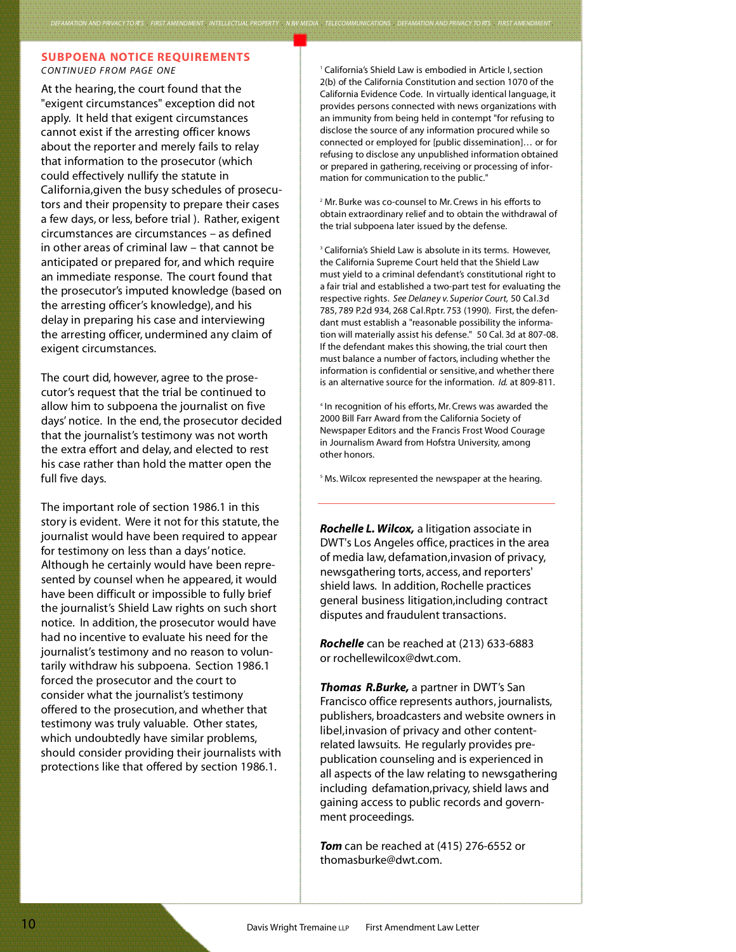#### **SUBPOENA NOTICE REQUIREMENTS CONTINUED FROM PAGE ONE**

At the hearing, the court found that the " exigent circumstances" exception did not apply. It held that exigent circumstances cannot exist if the arresting officer knows about the reporter and merely fails to relay that information to the prosecutor (which could effectively nullify the statute in California, given the busy schedules of prosecutors and their propensity to prepare their cases a few days, or less, before trial). Rather, exigent circumstances are circumstances – as defined in other areas of criminal law – that cannot be anticipated or prepared for, and which require an immediate response. The court found that the prosecutor's imputed knowledge (based on the arresting officer's knowledge), and his delay in preparing his case and interviewing the arresting officer, undermined any claim of exigent circumstances.

The court did, however, agree to the prosecutor's request that the trial be continued to allow him to subpoena the journalist on five days' notice. In the end, the prosecutor decided that the journalist's testimony was not worth the extra effort and delay, and elected to rest his case rather than hold the matter open the full five days.

The important role of section 1986.1 in this story is evident. Were it not for this statute, the journalist would have been required to appear for testimony on less than a days' notice. Although he certainly would have been represented by counsel when he appeared, it would have been difficult or impossible to fully brief the journalist's Shield Law rights on such short notice. In addition, the prosecutor would have had no incentive to evaluate his need for the journalist's testimony and no reason to voluntarily withdraw his subpoena. Section 1986.1 forced the prosecutor and the court to consider what the journalist's testimony offered to the prosecution, and whether that testimony was truly valuable. Other states, which undoubtedly have similar problems, should consider providing their journalists with protections like that offered by section 1986.1.

<sup>1</sup> California's Shield Law is embodied in Article I, section 2(b) of the California Constitution and section 1070 of the California Evidence Code. In virtually identical language, it provides persons connected with news organizations with an immunity from being held in contempt "for refusing to disclose the source of any information procured while so connected or employed for [public dissemination]... or for refusing to disclose any unpublished information obtained or prepared in gathering, receiving or processing of information for communication to the public."

<sup>2</sup> Mr. Burke was co-counsel to Mr. Crews in his efforts to obtain extraordinary relief and to obtain the withdrawal of the trial subpoena later issued by the defense.

<sup>3</sup> California's Shield Law is absolute in its terms. However, the California Supreme Court held that the Shield Law must yield to a criminal defendant's constitutional right to a fair trial and established a two-part test for evaluating the respective rights. See Delaney v. Superior Court, 50 Cal.3d 785, 789 P.2d 934, 268 Cal.Rptr. 753 (1990). First, the defendant must establish a "reasonable possibility the information will materially assist his defense." 50 Cal. 3d at 807-08. If the defendant makes this showing, the trial court then must balance a number of factors, including whether the information is confidential or sensitive, and whether there is an alternative source for the information. *Id.* at 809-811.

<sup>4</sup> In recognition of his efforts, Mr. Crews was awarded the 2000 Bill Farr Award from the California Society of Newspaper Editors and the Francis Frost Wood Courage in Journalism Award from Hofstra University, among other honors.

<sup>5</sup> Ms. Wilcox represented the newspaper at the hearing.

*Rochelle L. Wilcox,* a litigation associate in DWT's Los Angeles office, practices in the area of media law, defamation,invasion of privacy, newsgathering torts, access, and reporters' shield laws. In addition, Rochelle practices general business litigation,including contract disputes and fraudulent transactions.

*Rochelle* can be reached at (213) 633-6883 or rochellewilcox@dwt.com.

*Thomas R.Burke,* a partner in DWT's San Francisco office represents authors, journalists, publishers, broadcasters and website owners in libel,invasion of privacy and other contentrelated lawsuits. He regularly provides prepublication counseling and is experienced in all aspects of the law relating to newsgathering including defamation, privacy, shield laws and gaining access to public records and government proceedings.

*Tom* can be reached at (415) 276-6552 or thomasburke@dwt.com.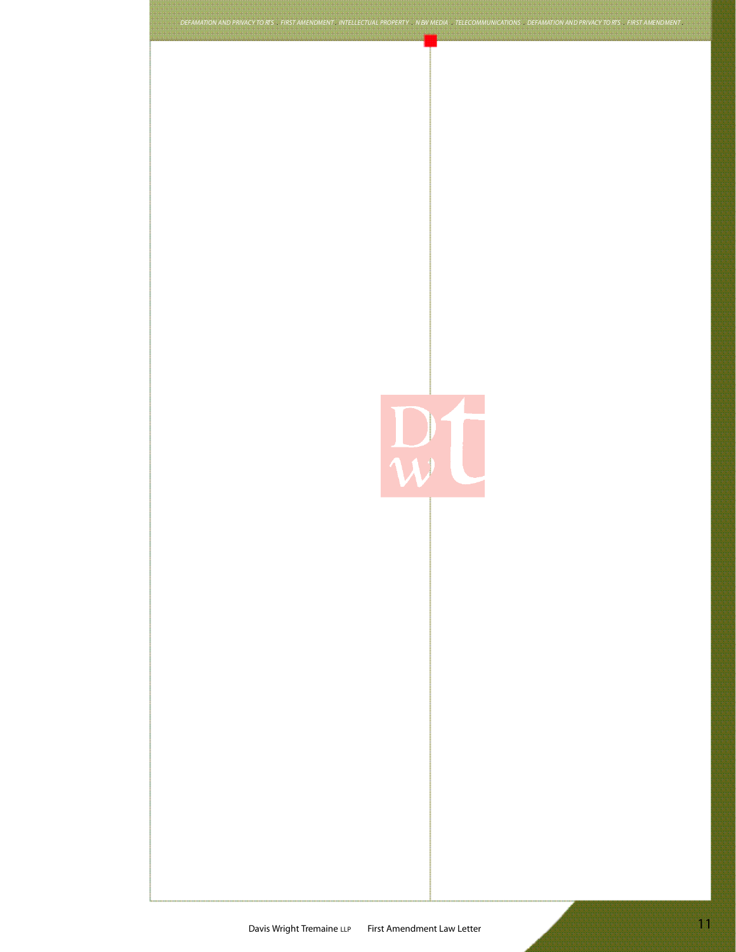

.<br>DEFAMATION AND PRIVACY TO RES. FIRST AMENDMENT. INTELLECTUAL PROPERTY. N BN MEDIA. TELECOMMUNICATIONS. DEFAMATION AND PRIVACY TO RES. FIRST AMENDMENT.